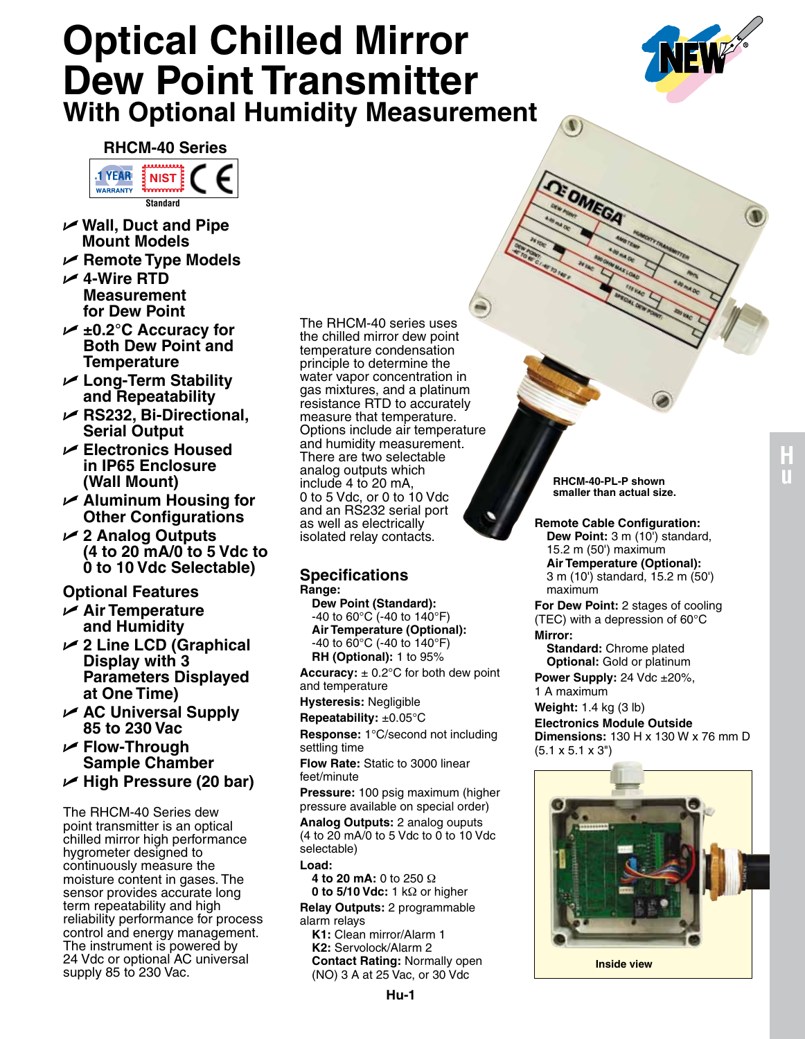# **Optical Chilled Mirror Dew Point Transmitter With Optional Humidity Measurement**



## **RHCM-40 Series**



- U **Wall, Duct and Pipe Mount Models**
- U **Remote Type Models**
- U **4-Wire RTD Measurement for Dew Point**
- U **±0.2°C Accuracy for Both Dew Point and Temperature**
- U **Long-Term Stability and Repeatability**
- U **RS232, Bi-Directional, Serial Output**
- U **Electronics Housed in IP65 Enclosure (Wall Mount)**
- U **Aluminum Housing for Other Configurations**
- U **2 Analog Outputs (4 to 20 mA/0 to 5 Vdc to 0 to 10 Vdc Selectable)**

# **Optional Features**

- U **Air Temperature and Humidity**
- U **2 Line LCD (Graphical Display with 3 Parameters Displayed at One Time)**
- U **AC Universal Supply 85 to 230 Vac**
- U **Flow-Through Sample Chamber**
- U **High Pressure (20 bar)**

The RHCM-40 Series dew point transmitter is an optical chilled mirror high performance hygrometer designed to continuously measure the moisture content in gases. The sensor provides accurate long term repeatability and high reliability performance for process control and energy management. The instrument is powered by 24 Vdc or optional AC universal supply 85 to 230 Vac.

The RHCM-40 series uses the chilled mirror dew point temperature condensation principle to determine the water vapor concentration in gas mixtures, and a platinum resistance RTD to accurately measure that temperature. Options include air temperature and humidity measurement. There are two selectable analog outputs which include 4 to 20 mA, 0 to 5 Vdc, or 0 to 10 Vdc and an RS232 serial port as well as electrically isolated relay contacts.

### **Specifications Range:**

**Dew Point (Standard):** -40 to 60°C (-40 to 140°F) **Air Temperature (Optional):** -40 to 60°C (-40 to 140°F) **RH (Optional):** 1 to 95%

**Accuracy:**  $\pm$  0.2 $^{\circ}$ C for both dew point and temperature

**Hysteresis:** Negligible

**Repeatability:** ±0.05°C

**Response:** 1°C/second not including settling time

**Flow Rate:** Static to 3000 linear

feet/minute

**Pressure:** 100 psig maximum (higher pressure available on special order)

**Analog Outputs:** 2 analog ouputs (4 to 20 mA/0 to 5 Vdc to 0 to 10 Vdc selectable)

**Load:**

**4 to 20 mA:** 0 to 250 Ω **0 to 5/10 Vdc:** 1 kΩ or higher

**Relay Outputs:** 2 programmable alarm relays

**K1:** Clean mirror/Alarm 1 **K2:** Servolock/Alarm 2 **Contact Rating:** Normally open (NO) 3 A at 25 Vac, or 30 Vdc

**RHCM-40-PL-P shown smaller than actual size.**

E OMEGA

**Remote Cable Configuration: Dew Point:** 3 m (10') standard, 15.2 m (50') maximum **Air Temperature (Optional):** 3 m (10') standard, 15.2 m (50') maximum

**For Dew Point:** 2 stages of cooling (TEC) with a depression of 60°C **Mirror:**

**Standard:** Chrome plated **Optional:** Gold or platinum

**Power Supply:** 24 Vdc ±20%, 1 A maximum

**Weight:** 1.4 kg (3 lb)

**Electronics Module Outside** 

**Dimensions:** 130 H x 130 W x 76 mm D (5.1 x 5.1 x 3")



**Inside view**